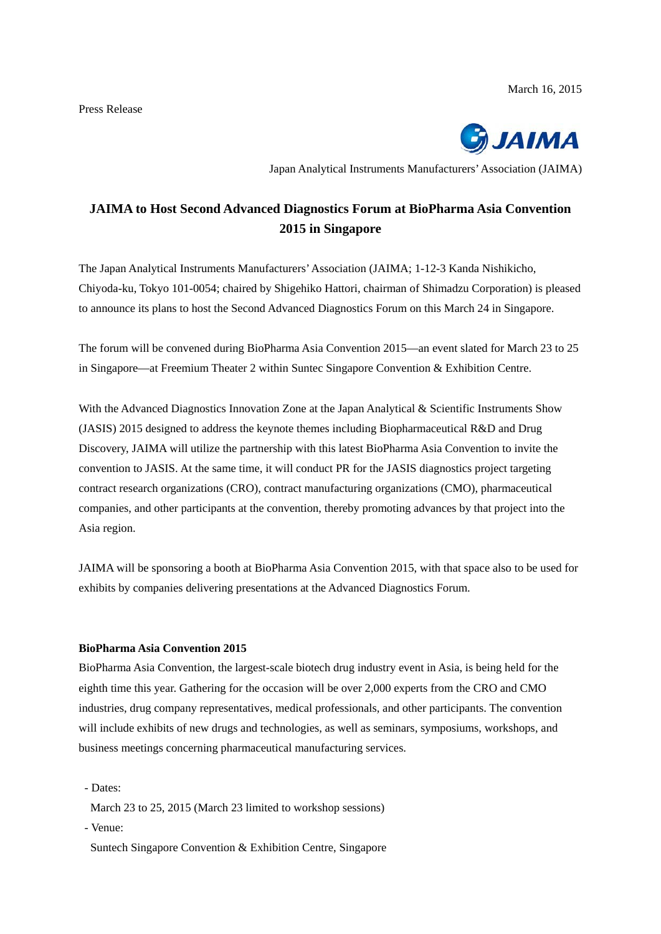

Japan Analytical Instruments Manufacturers' Association (JAIMA)

# **JAIMA to Host Second Advanced Diagnostics Forum at BioPharma Asia Convention 2015 in Singapore**

The Japan Analytical Instruments Manufacturers' Association (JAIMA; 1-12-3 Kanda Nishikicho, Chiyoda-ku, Tokyo 101-0054; chaired by Shigehiko Hattori, chairman of Shimadzu Corporation) is pleased to announce its plans to host the Second Advanced Diagnostics Forum on this March 24 in Singapore.

The forum will be convened during BioPharma Asia Convention 2015—an event slated for March 23 to 25 in Singapore—at Freemium Theater 2 within Suntec Singapore Convention & Exhibition Centre.

With the Advanced Diagnostics Innovation Zone at the Japan Analytical & Scientific Instruments Show (JASIS) 2015 designed to address the keynote themes including Biopharmaceutical R&D and Drug Discovery, JAIMA will utilize the partnership with this latest BioPharma Asia Convention to invite the convention to JASIS. At the same time, it will conduct PR for the JASIS diagnostics project targeting contract research organizations (CRO), contract manufacturing organizations (CMO), pharmaceutical companies, and other participants at the convention, thereby promoting advances by that project into the Asia region.

JAIMA will be sponsoring a booth at BioPharma Asia Convention 2015, with that space also to be used for exhibits by companies delivering presentations at the Advanced Diagnostics Forum.

### **BioPharma Asia Convention 2015**

BioPharma Asia Convention, the largest-scale biotech drug industry event in Asia, is being held for the eighth time this year. Gathering for the occasion will be over 2,000 experts from the CRO and CMO industries, drug company representatives, medical professionals, and other participants. The convention will include exhibits of new drugs and technologies, as well as seminars, symposiums, workshops, and business meetings concerning pharmaceutical manufacturing services.

- Dates:
	- March 23 to 25, 2015 (March 23 limited to workshop sessions)
- Venue:
- Suntech Singapore Convention & Exhibition Centre, Singapore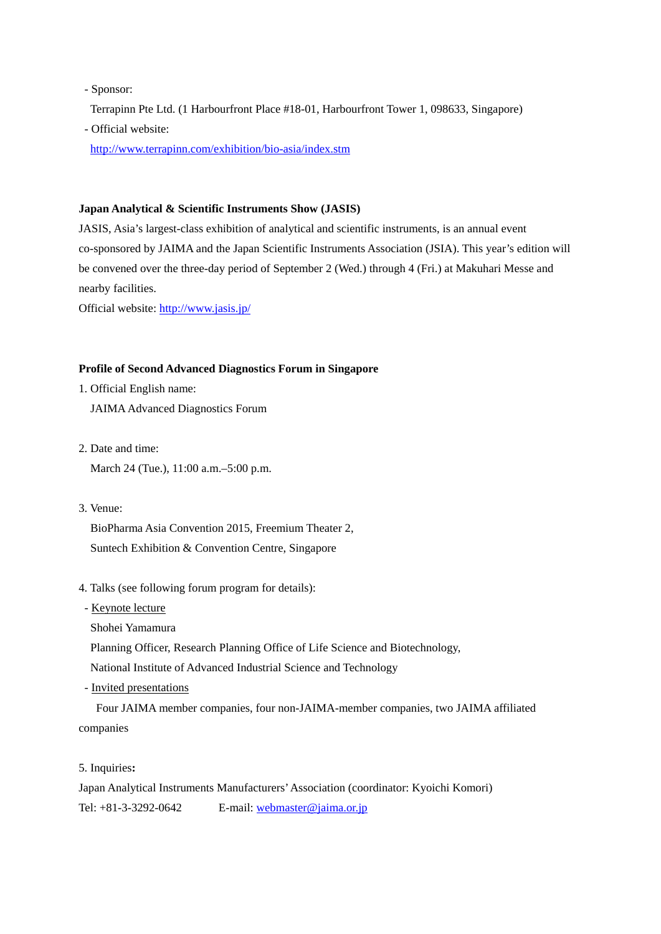- Sponsor:

Terrapinn Pte Ltd. (1 Harbourfront Place #18-01, Harbourfront Tower 1, 098633, Singapore)

- Official website:

http://www.terrapinn.com/exhibition/bio-asia/index.stm

#### **Japan Analytical & Scientific Instruments Show (JASIS)**

JASIS, Asia's largest-class exhibition of analytical and scientific instruments, is an annual event co-sponsored by JAIMA and the Japan Scientific Instruments Association (JSIA). This year's edition will be convened over the three-day period of September 2 (Wed.) through 4 (Fri.) at Makuhari Messe and nearby facilities.

Official website: http://www.jasis.jp/

#### **Profile of Second Advanced Diagnostics Forum in Singapore**

- 1. Official English name: JAIMA Advanced Diagnostics Forum
- 2. Date and time: March 24 (Tue.), 11:00 a.m.–5:00 p.m.
- 3. Venue:

 BioPharma Asia Convention 2015, Freemium Theater 2, Suntech Exhibition & Convention Centre, Singapore

- 4. Talks (see following forum program for details):
- Keynote lecture
- Shohei Yamamura
- Planning Officer, Research Planning Office of Life Science and Biotechnology,

National Institute of Advanced Industrial Science and Technology

- Invited presentations

Four JAIMA member companies, four non-JAIMA-member companies, two JAIMA affiliated companies

5. Inquiries**:** 

Japan Analytical Instruments Manufacturers' Association (coordinator: Kyoichi Komori) Tel: +81-3-3292-0642 E-mail: webmaster@jaima.or.jp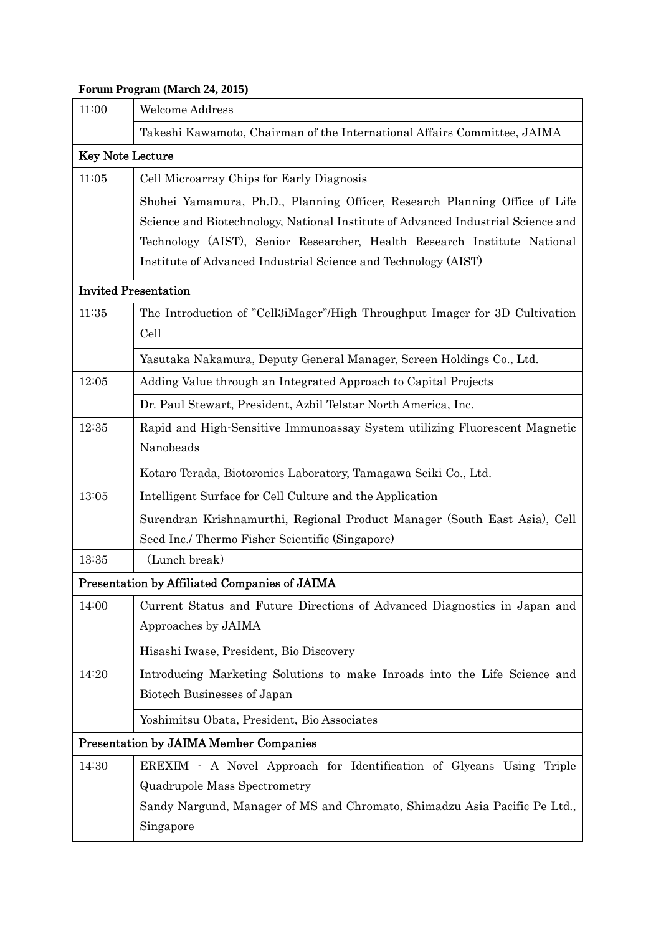## **Forum Program (March 24, 2015)**

| 11:00                                         | <b>Welcome Address</b>                                                              |  |
|-----------------------------------------------|-------------------------------------------------------------------------------------|--|
|                                               | Takeshi Kawamoto, Chairman of the International Affairs Committee, JAIMA            |  |
| <b>Key Note Lecture</b>                       |                                                                                     |  |
| 11:05                                         | Cell Microarray Chips for Early Diagnosis                                           |  |
|                                               | Shohei Yamamura, Ph.D., Planning Officer, Research Planning Office of Life          |  |
|                                               | Science and Biotechnology, National Institute of Advanced Industrial Science and    |  |
|                                               | Technology (AIST), Senior Researcher, Health Research Institute National            |  |
|                                               | Institute of Advanced Industrial Science and Technology (AIST)                      |  |
| <b>Invited Presentation</b>                   |                                                                                     |  |
| 11:35                                         | The Introduction of "Cell3iMager"/High Throughput Imager for 3D Cultivation<br>Cell |  |
|                                               | Yasutaka Nakamura, Deputy General Manager, Screen Holdings Co., Ltd.                |  |
| 12:05                                         | Adding Value through an Integrated Approach to Capital Projects                     |  |
|                                               | Dr. Paul Stewart, President, Azbil Telstar North America, Inc.                      |  |
| 12:35                                         | Rapid and High-Sensitive Immunoassay System utilizing Fluorescent Magnetic          |  |
|                                               | Nanobeads                                                                           |  |
|                                               | Kotaro Terada, Biotoronics Laboratory, Tamagawa Seiki Co., Ltd.                     |  |
| 13:05                                         | Intelligent Surface for Cell Culture and the Application                            |  |
|                                               | Surendran Krishnamurthi, Regional Product Manager (South East Asia), Cell           |  |
|                                               | Seed Inc./ Thermo Fisher Scientific (Singapore)                                     |  |
| 13:35                                         | (Lunch break)                                                                       |  |
| Presentation by Affiliated Companies of JAIMA |                                                                                     |  |
| 14:00                                         | Current Status and Future Directions of Advanced Diagnostics in Japan and           |  |
|                                               | Approaches by JAIMA                                                                 |  |
|                                               | Hisashi Iwase, President, Bio Discovery                                             |  |
| 14:20                                         | Introducing Marketing Solutions to make Inroads into the Life Science and           |  |
|                                               | Biotech Businesses of Japan                                                         |  |
|                                               | Yoshimitsu Obata, President, Bio Associates                                         |  |
| <b>Presentation by JAIMA Member Companies</b> |                                                                                     |  |
| 14:30                                         | EREXIM - A Novel Approach for Identification of Glycans Using Triple                |  |
|                                               | <b>Quadrupole Mass Spectrometry</b>                                                 |  |
|                                               | Sandy Nargund, Manager of MS and Chromato, Shimadzu Asia Pacific Pe Ltd.,           |  |
|                                               | Singapore                                                                           |  |